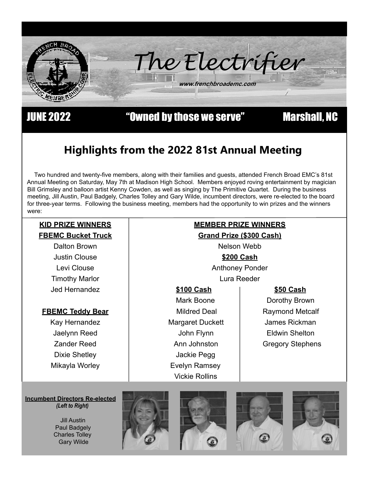

JUNE 2022 "Owned by those we serve" Marshall, NC

# **Highlights from the 2022 81st Annual Meeting**

Two hundred and twenty-five members, along with their families and guests, attended French Broad EMC's 81st Annual Meeting on Saturday, May 7th at Madison High School. Members enjoyed roving entertainment by magician Bill Grimsley and balloon artist Kenny Cowden, as well as singing by The Primitive Quartet. During the business meeting, Jill Austin, Paul Badgely, Charles Tolley and Gary Wilde, incumbent directors, were re-elected to the board for three-year terms. Following the business meeting, members had the opportunity to win prizes and the winners were:

## **KID PRIZE WINNERS FBEMC Bucket Truck**

Dalton Brown Justin Clouse Levi Clouse Timothy Marlor Jed Hernandez

## **FBEMC Teddy Bear**

Kay Hernandez Jaelynn Reed Zander Reed Dixie Shetley Mikayla Worley

# **MEMBER PRIZE WINNERS**

**Grand Prize (\$300 Cash)**

Nelson Webb

## **\$200 Cash**

Anthoney Ponder Lura Reeder

- **\$100 Cash \$50 Cash**
- Margaret Duckett James Rickman Jackie Pegg Evelyn Ramsey Vickie Rollins

Mark Boone | Dorothy Brown Mildred Deal | Raymond Metcalf John Flynn Eldwin Shelton Ann Johnston | Gregory Stephens

 **Incumbent Directors Re-elected**  *(Left to Right)*









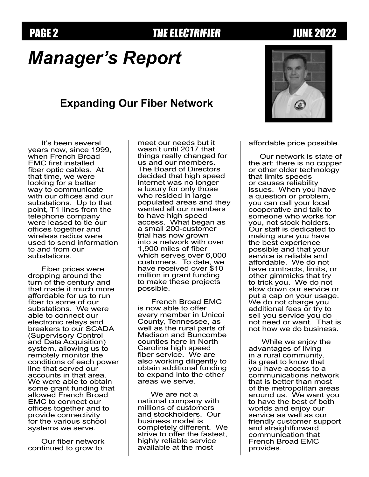## PAGE 2 **THE ELECTRIFIER** JUNE 2022

# *Manager's Report*

## **Expanding Our Fiber Network**

It's been several years now, since 1999, when French Broad EMC first installed fiber optic cables. At that time, we were looking for a better way to communicate with our offices and our substations. Up to that point, T1 lines from the telephone company were leased to tie our offices together and wireless radios were used to send information to and from our substations.

Fiber prices were dropping around the turn of the century and that made it much more affordable for us to run fiber to some of our substations. We were able to connect our electronic relays and breakers to our SCADA (Supervisory Control and Data Acquisition) system, allowing us to remotely monitor the conditions of each power line that served our accounts in that area. We were able to obtain some grant funding that allowed French Broad EMC to connect our offices together and to provide connectivity for the various school systems we serve.

Our fiber network continued to grow to

meet our needs but it wasn't until 2017 that things really changed for us and our members. The Board of Directors decided that high speed internet was no longer a luxury for only those who resided in large populated areas and they wanted all our members to have high speed access. What began as a small 200-customer trial has now grown into a network with over 1,900 miles of fiber which serves over 6,000 customers. To date, we have received over \$10 million in grant funding to make these projects possible.

 French Broad EMC is now able to offer every member in Unicoi County, Tennessee, as well as the rural parts of Madison and Buncombe counties here in North Carolina high speed fiber service. We are also working diligently to obtain additional funding to expand into the other areas we serve.

We are not a national company with millions of customers and stockholders. Our business model is completely different. We strive to offer the fastest, highly reliable service available at the most

affordable price possible.

 Our network is state of the art; there is no copper or other older technology that limits speeds or causes reliability issues. When you have a question or problem, you can call your local cooperative and talk to someone who works for you, not stock holders. Our staff is dedicated to making sure you have the best experience possible and that your service is reliable and affordable. We do not have contracts, limits, or other gimmicks that try to trick you. We do not slow down our service or put a cap on your usage. We do not charge you additional fees or try to sell you service you do not need or want. That is not how we do business.

While we enjoy the advantages of living in a rural community, its great to know that you have access to a communications network that is better than most of the metropolitan areas around us. We want you to have the best of both worlds and enjoy our service as well as our friendly customer support and straightforward communication that French Broad EMC provides.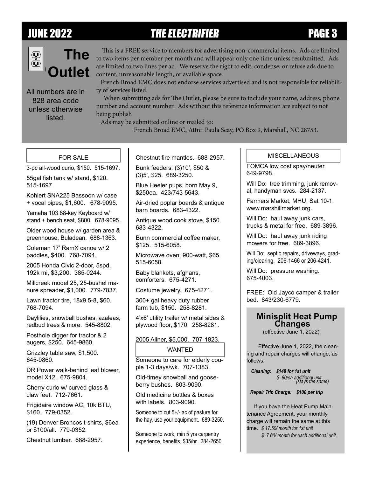# JUNE 2022 THE ELECTRIFIER PAGE 3



All numbers are in 828 area code unless otherwise listed.

 This is a FREE service to members for advertising non-commercial items. Ads are limited to two items per member per month and will appear only one time unless resubmitted. Ads are limited to two lines per ad. We reserve the right to edit, condense, or refuse ads due to content, unreasonable length, or available space.

 French Broad EMC does not endorse services advertised and is not responsible for reliability of services listed.

 When submitting ads for The Outlet, please be sure to include your name, address, phone number and account number. Ads without this reference information are subject to not being publish

Ads may be submitted online or mailed to:

French Broad EMC, Attn: Paula Seay, PO Box 9, Marshall, NC 28753.

## FOR SALE

3-pc all-wood curio, \$150. 515-1697.

55gal fish tank w/ stand, \$120. 515-1697.

Kohlert SNA225 Bassoon w/ case + vocal pipes, \$1,600. 678-9095.

Yamaha 103 88-key Keyboard w/ stand + bench seat, \$800. 678-9095.

Older wood house w/ garden area & greenhouse, Buladean. 688-1363.

Coleman 17' RamX canoe w/ 2 paddles, \$400. 768-7094.

2005 Honda Civic 2-door, 5spd, 192k mi, \$3,200. 385-0244.

Millcreek model 25, 25-bushel manure spreader, \$1,000. 779-7837.

Lawn tractor tire, 18x9.5-8, \$60. 768-7094.

Daylilies, snowball bushes, azaleas, redbud trees & more. 545-8802.

Posthole digger for tractor & 2 augers, \$250. 645-9860.

Grizzley table saw, \$1,500. 645-9860.

DR Power walk-behind leaf blower, model X12. 675-9804.

Cherry curio w/ curved glass & claw feet. 712-7661.

Frigidaire window AC, 10k BTU, \$160. 779-0352.

(19) Denver Broncos t-shirts, \$6ea or \$100/all. 779-0352.

Chestnut lumber. 688-2957.

Chestnut fire mantles. 688-2957.

Bunk feeders: (3)10', \$50 & (3)5', \$25. 689-3250.

Blue Heeler pups, born May 9, \$250ea. 423/743-5643.

Air-dried poplar boards & antique barn boards. 683-4322.

Antique wood cook stove, \$150. 683-4322.

Bunn commercial coffee maker, \$125. 515-6058.

Microwave oven, 900-watt, \$65. 515-6058.

Baby blankets, afghans, comforters. 675-4271.

Costume jewelry. 675-4271.

300+ gal heavy duty rubber farm tub, \$150. 258-8281.

4'x6' utility trailer w/ metal sides & plywood floor, \$170. 258-8281.

### 2005 Aliner, \$5,000. 707-1823.

### WANTED

Someone to care for elderly couple 1-3 days/wk. 707-1383.

Old-timey snowball and gooseberry bushes. 803-9090.

Old medicine bottles & boxes with labels. 803-9090.

Someone to cut 5+/- ac of pasture for the hay, use your equipment. 689-3250.

Someone to work, min 5 yrs carpentry experience, benefits, \$35/hr. 284-2650.

### **MISCELLANEOUS**

FOMCA low cost spay/neuter. 649-9798.

Will Do: tree trimming, junk removal, handyman svcs. 284-2137.

Farmers Market, MHU, Sat 10-1. www.marshillmarket.org.

Will Do: haul away junk cars, trucks & metal for free. 689-3896.

Will Do: haul away junk riding mowers for free. 689-3896.

Will Do: septic repairs, driveways, grading/clearing. 206-1466 or 206-4241.

Will Do: pressure washing. 675-4003.

FREE: Old Jayco camper & trailer bed. 843/230-6779.

# **Minisplit Heat Pump Changes**

(effective June 1, 2022)

Effective June 1, 2022, the cleaning and repair charges will change, as follows:

 *Cleaning: \$149 for 1st unit \$ 80/ea additional unit (stays the same)* 

 *Repair Trip Charge: \$100 per trip*

 If you have the Heat Pump Maintenance Agreement, your monthly charge will remain the same at this time. *\$ 17.50/ month for 1st unit*